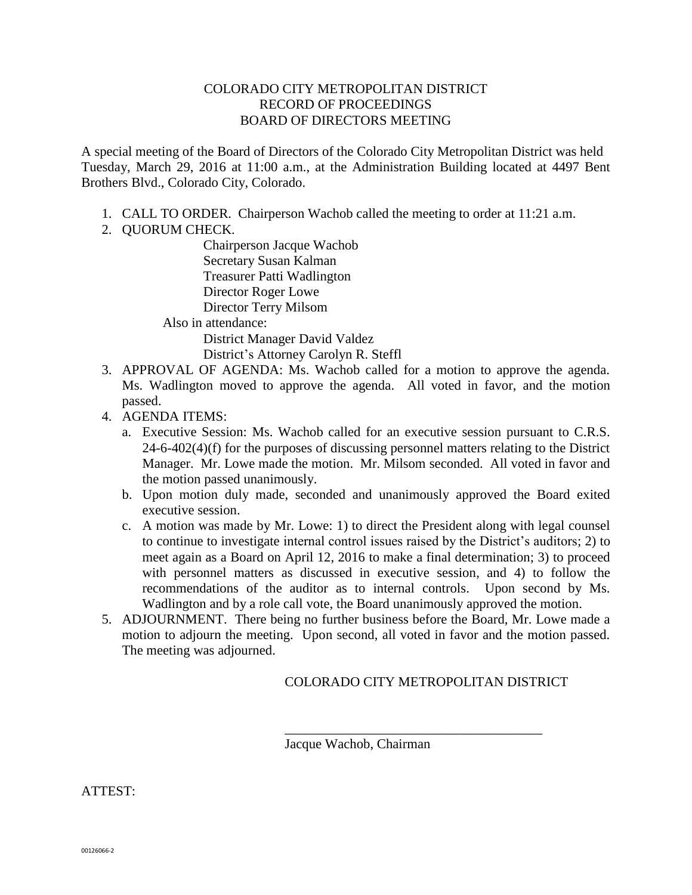## COLORADO CITY METROPOLITAN DISTRICT RECORD OF PROCEEDINGS BOARD OF DIRECTORS MEETING

A special meeting of the Board of Directors of the Colorado City Metropolitan District was held Tuesday, March 29, 2016 at 11:00 a.m., at the Administration Building located at 4497 Bent Brothers Blvd., Colorado City, Colorado.

- 1. CALL TO ORDER. Chairperson Wachob called the meeting to order at 11:21 a.m.
- 2. QUORUM CHECK.

Chairperson Jacque Wachob Secretary Susan Kalman Treasurer Patti Wadlington Director Roger Lowe Director Terry Milsom Also in attendance: District Manager David Valdez

District's Attorney Carolyn R. Steffl

- 3. APPROVAL OF AGENDA: Ms. Wachob called for a motion to approve the agenda. Ms. Wadlington moved to approve the agenda. All voted in favor, and the motion passed.
- 4. AGENDA ITEMS:
	- a. Executive Session: Ms. Wachob called for an executive session pursuant to C.R.S. 24-6-402(4)(f) for the purposes of discussing personnel matters relating to the District Manager. Mr. Lowe made the motion. Mr. Milsom seconded. All voted in favor and the motion passed unanimously.
	- b. Upon motion duly made, seconded and unanimously approved the Board exited executive session.
	- c. A motion was made by Mr. Lowe: 1) to direct the President along with legal counsel to continue to investigate internal control issues raised by the District's auditors; 2) to meet again as a Board on April 12, 2016 to make a final determination; 3) to proceed with personnel matters as discussed in executive session, and 4) to follow the recommendations of the auditor as to internal controls. Upon second by Ms. Wadlington and by a role call vote, the Board unanimously approved the motion.
- 5. ADJOURNMENT. There being no further business before the Board, Mr. Lowe made a motion to adjourn the meeting. Upon second, all voted in favor and the motion passed. The meeting was adjourned.

## COLORADO CITY METROPOLITAN DISTRICT

\_\_\_\_\_\_\_\_\_\_\_\_\_\_\_\_\_\_\_\_\_\_\_\_\_\_\_\_\_\_\_\_\_\_\_\_\_\_

Jacque Wachob, Chairman

ATTEST: